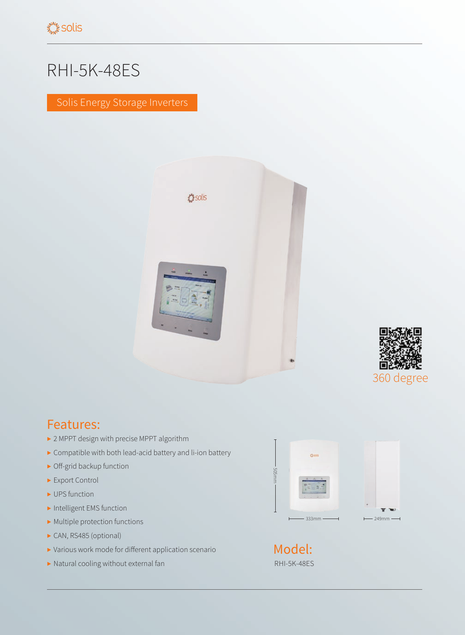## RHI-5K-48ES

Solis Energy Storage Inverters





## Features:

- ▶ 2 MPPT design with precise MPPT algorithm
- ▶ Compatible with both lead-acid battery and li-ion battery
- ▶ Off-grid backup function
- ▶ Export Control
- ▶ UPS function
- ▶ Intelligent EMS function
- $\blacktriangleright$  Multiple protection functions
- ▶ CAN, RS485 (optional)
- ▶ Various work mode for different application scenario
- ▶ Natural cooling without external fan



RHI-5K-48ES Model: